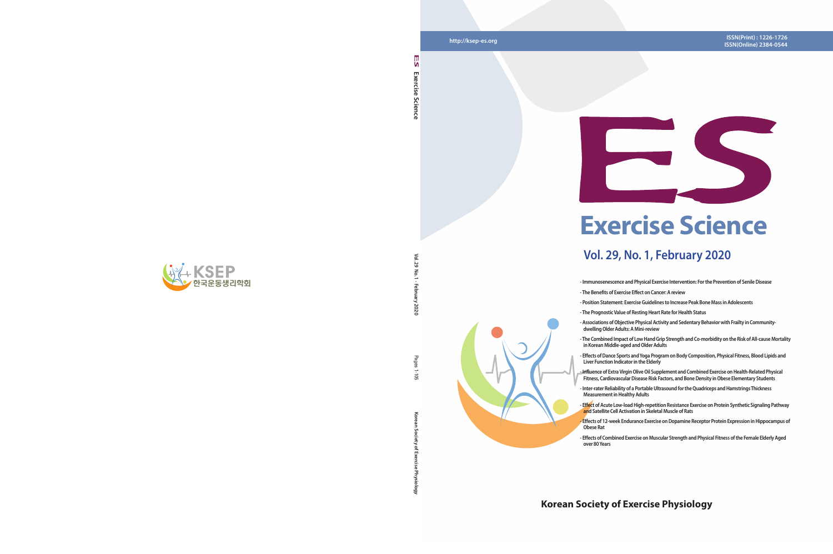**http://ksep-es.org**

**Vol. 29 No. 1 · February 2020**  $\overline{\mathcal{R}}$ 

2020

Pages **Korean Society of Exercise Physiology** Pages 1-105 ā

ر<br>وي

# **Korean Society of Exercise Physiology**





# **Exercise Science**

# **Vol. 29, No. 1, February 2020**

- **Immunosenescence and Physical Exercise Intervention: For the Prevention of Senile Disease**
- **The Benefits of Exercise Effect on Cancer: A review**
- **Position Statement: Exercise Guidelines to Increase Peak Bone Mass in Adolescents**
- **The Prognostic Value of Resting Heart Rate for Health Status**
- **The Combined Impact of Low Hand Grip Strength and Co-morbidity on the Risk of All-cause Mortality in Korean Middle-aged and Older Adults**
- **Effect of Acute Low-load High-repetition Resistance Exercise on Protein Synthetic Signaling Pathway and Satellite Cell Activation in Skeletal Muscle of Rats**
- **Effects of 12-week Endurance Exercise on Dopamine Receptor Protein Expression in Hippocampus of**
- **Effects of Combined Exercise on Muscular Strength and Physical Fitness of the Female Elderly Aged**



- 
- 
- 
- **Associations of Objective Physical Activity and Sedentary Behavior with Frailty in Communitydwelling Older Adults: A Mini-review**
- 
- **Effects of Dance Sports and Yoga Program on Body Composition, Physical Fitness, Blood Lipids and Liver Function Indicator in the Elderly**
- **Influence of Extra Virgin Olive Oil Supplement and Combined Exercise on Health-Related Physical Fitness, Cardiovascular Disease Risk Factors, and Bone Density in Obese Elementary Students**
- **Inter-rater Reliability of a Portable Ultrasound for the Quadriceps and Hamstrings Thickness Measurement in Healthy Adults**
- 
- **Obese Rat over 80 Years**